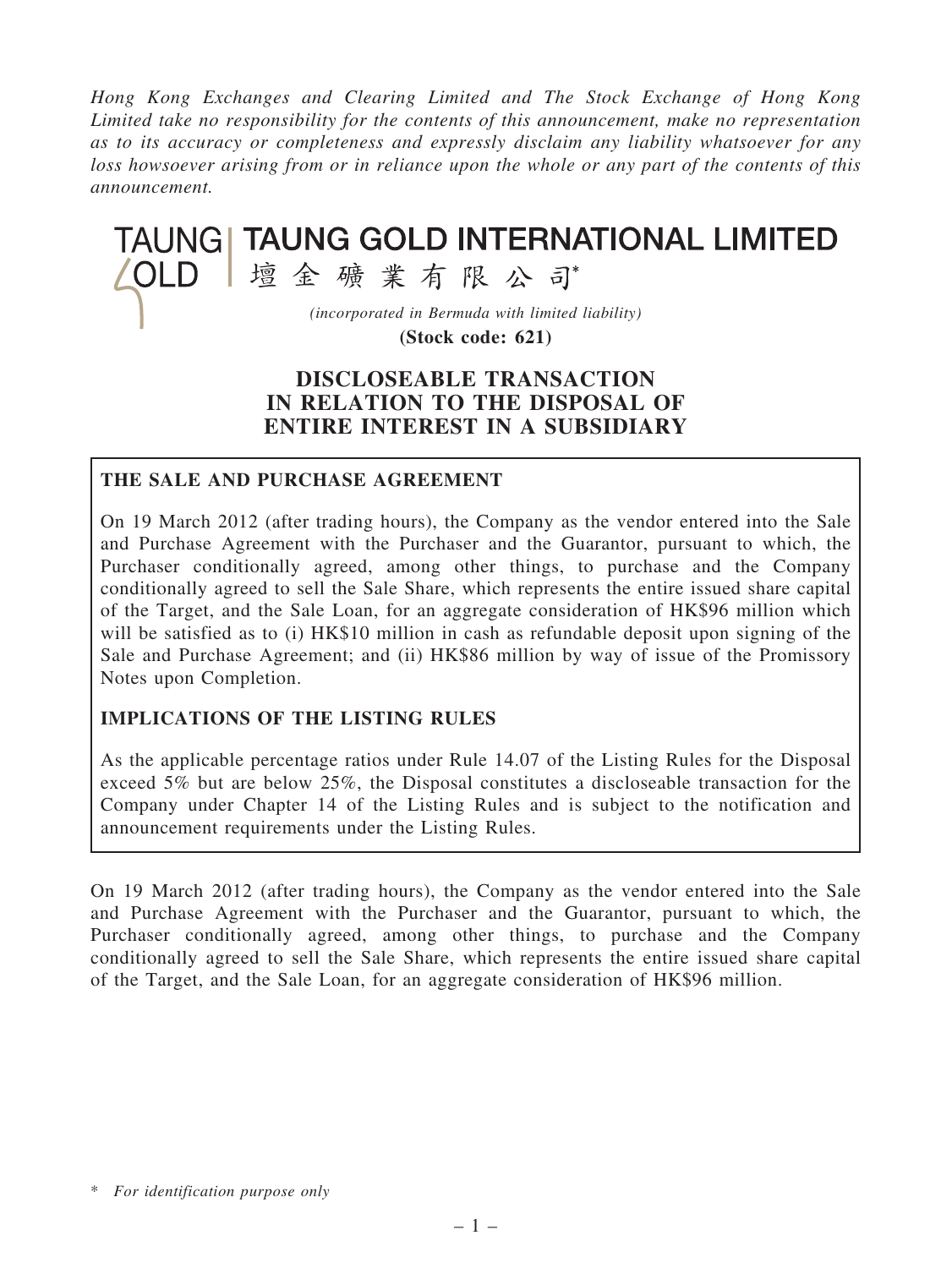Hong Kong Exchanges and Clearing Limited and The Stock Exchange of Hong Kong Limited take no responsibility for the contents of this announcement, make no representation as to its accuracy or completeness and expressly disclaim any liability whatsoever for any loss howsoever arising from or in reliance upon the whole or any part of the contents of this announcement.

# TAUNG | TAUNG GOLD INTERNATIONAL LIMITED △OLD |壇金礦業有限公司 (incorporated in Bermuda with limited liability)

(Stock code: 621)

# DISCLOSEABLE TRANSACTION IN RELATION TO THE DISPOSAL OF ENTIRE INTEREST IN A SUBSIDIARY

# THE SALE AND PURCHASE AGREEMENT

On 19 March 2012 (after trading hours), the Company as the vendor entered into the Sale and Purchase Agreement with the Purchaser and the Guarantor, pursuant to which, the Purchaser conditionally agreed, among other things, to purchase and the Company conditionally agreed to sell the Sale Share, which represents the entire issued share capital of the Target, and the Sale Loan, for an aggregate consideration of HK\$96 million which will be satisfied as to (i) HK\$10 million in cash as refundable deposit upon signing of the Sale and Purchase Agreement; and (ii) HK\$86 million by way of issue of the Promissory Notes upon Completion.

# IMPLICATIONS OF THE LISTING RULES

As the applicable percentage ratios under Rule 14.07 of the Listing Rules for the Disposal exceed 5% but are below 25%, the Disposal constitutes a discloseable transaction for the Company under Chapter 14 of the Listing Rules and is subject to the notification and announcement requirements under the Listing Rules.

On 19 March 2012 (after trading hours), the Company as the vendor entered into the Sale and Purchase Agreement with the Purchaser and the Guarantor, pursuant to which, the Purchaser conditionally agreed, among other things, to purchase and the Company conditionally agreed to sell the Sale Share, which represents the entire issued share capital of the Target, and the Sale Loan, for an aggregate consideration of HK\$96 million.

<sup>\*</sup> For identification purpose only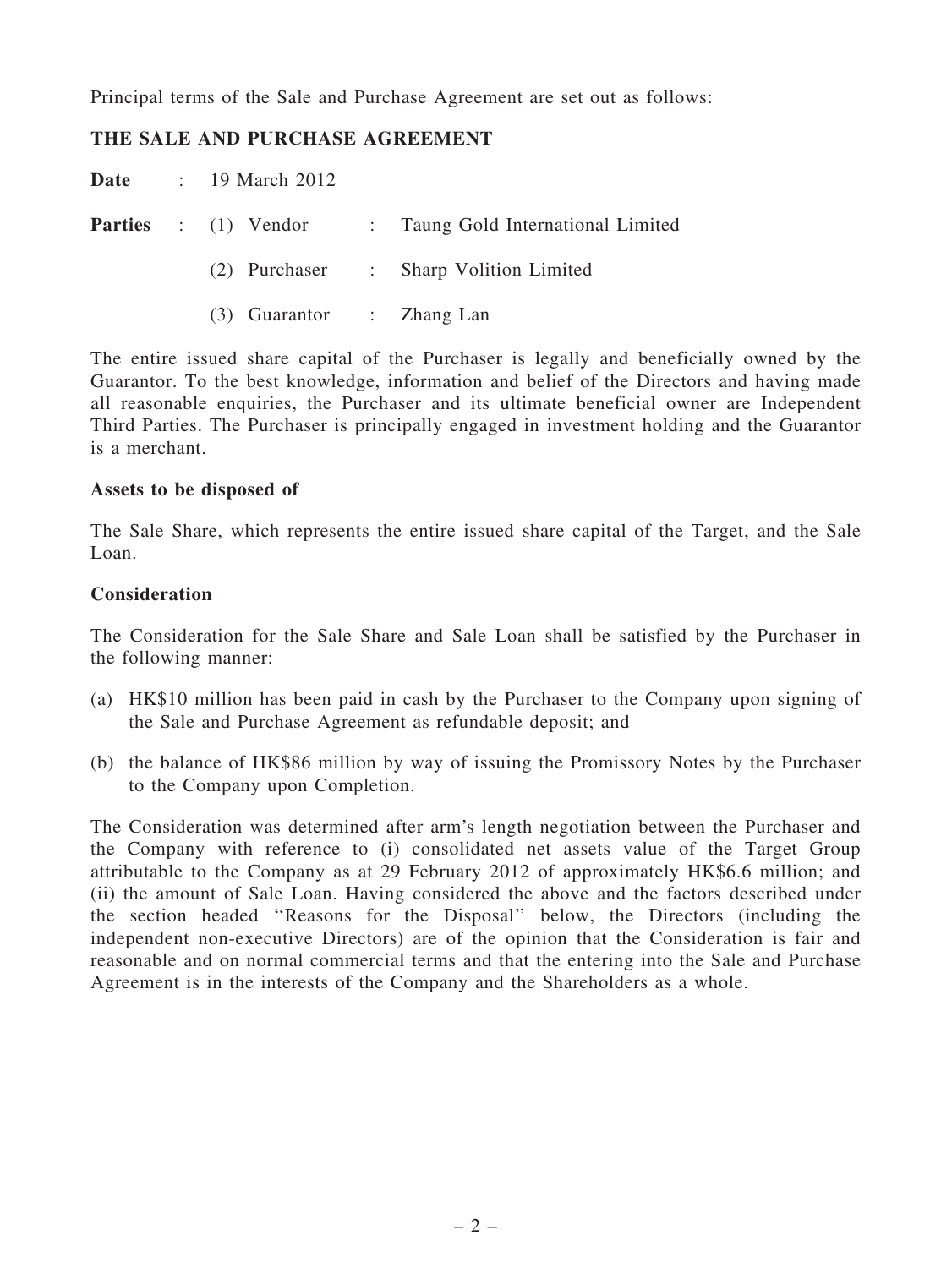Principal terms of the Sale and Purchase Agreement are set out as follows:

# THE SALE AND PURCHASE AGREEMENT

Date : 19 March 2012

|  |                           | <b>Parties</b> : (1) Vendor : Taung Gold International Limited |
|--|---------------------------|----------------------------------------------------------------|
|  |                           | (2) Purchaser : Sharp Volition Limited                         |
|  | (3) Guarantor : Zhang Lan |                                                                |

The entire issued share capital of the Purchaser is legally and beneficially owned by the Guarantor. To the best knowledge, information and belief of the Directors and having made all reasonable enquiries, the Purchaser and its ultimate beneficial owner are Independent Third Parties. The Purchaser is principally engaged in investment holding and the Guarantor is a merchant.

#### Assets to be disposed of

The Sale Share, which represents the entire issued share capital of the Target, and the Sale Loan.

#### Consideration

The Consideration for the Sale Share and Sale Loan shall be satisfied by the Purchaser in the following manner:

- (a) HK\$10 million has been paid in cash by the Purchaser to the Company upon signing of the Sale and Purchase Agreement as refundable deposit; and
- (b) the balance of HK\$86 million by way of issuing the Promissory Notes by the Purchaser to the Company upon Completion.

The Consideration was determined after arm's length negotiation between the Purchaser and the Company with reference to (i) consolidated net assets value of the Target Group attributable to the Company as at 29 February 2012 of approximately HK\$6.6 million; and (ii) the amount of Sale Loan. Having considered the above and the factors described under the section headed ''Reasons for the Disposal'' below, the Directors (including the independent non-executive Directors) are of the opinion that the Consideration is fair and reasonable and on normal commercial terms and that the entering into the Sale and Purchase Agreement is in the interests of the Company and the Shareholders as a whole.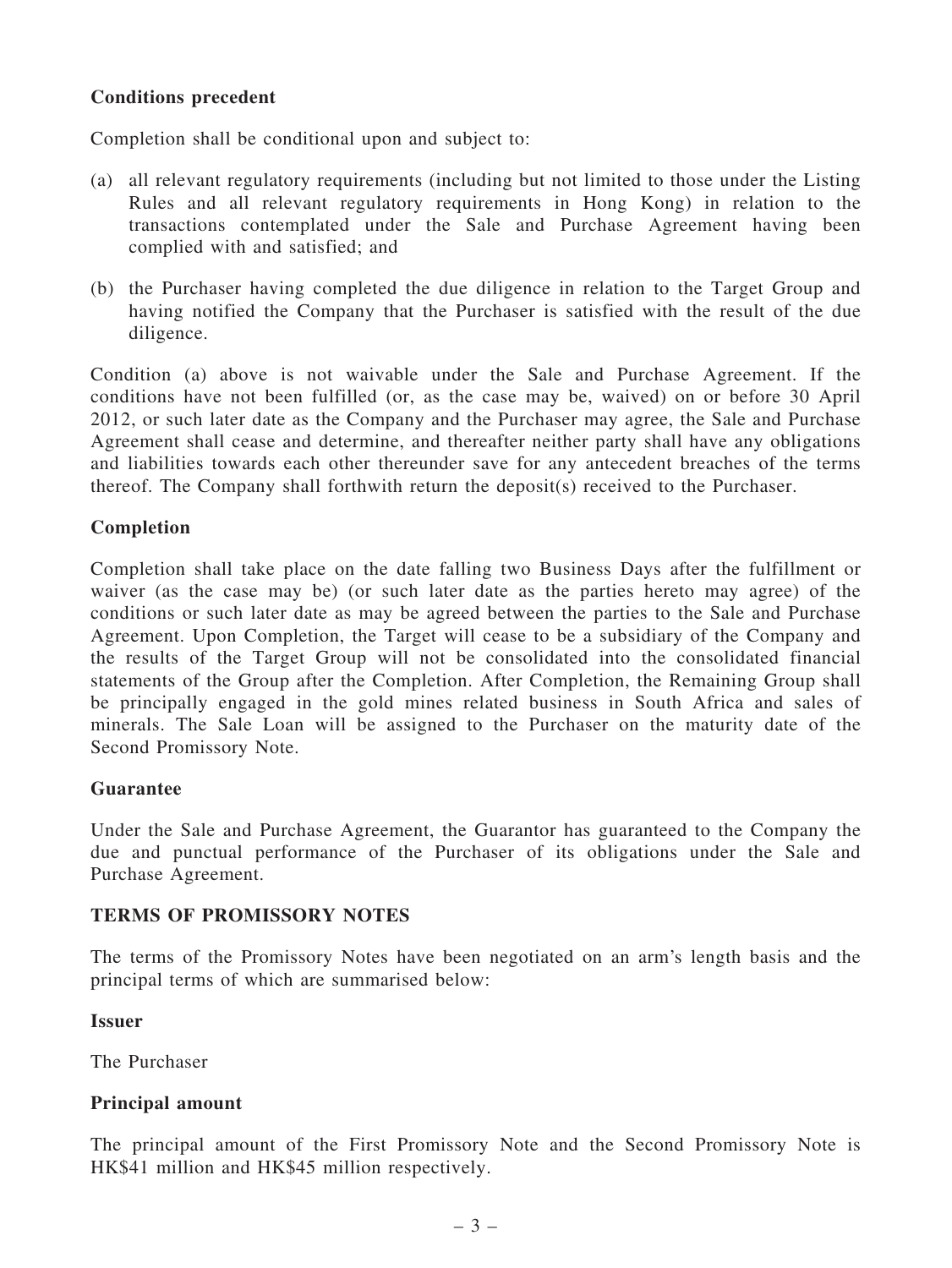# Conditions precedent

Completion shall be conditional upon and subject to:

- (a) all relevant regulatory requirements (including but not limited to those under the Listing Rules and all relevant regulatory requirements in Hong Kong) in relation to the transactions contemplated under the Sale and Purchase Agreement having been complied with and satisfied; and
- (b) the Purchaser having completed the due diligence in relation to the Target Group and having notified the Company that the Purchaser is satisfied with the result of the due diligence.

Condition (a) above is not waivable under the Sale and Purchase Agreement. If the conditions have not been fulfilled (or, as the case may be, waived) on or before 30 April 2012, or such later date as the Company and the Purchaser may agree, the Sale and Purchase Agreement shall cease and determine, and thereafter neither party shall have any obligations and liabilities towards each other thereunder save for any antecedent breaches of the terms thereof. The Company shall forthwith return the deposit(s) received to the Purchaser.

#### Completion

Completion shall take place on the date falling two Business Days after the fulfillment or waiver (as the case may be) (or such later date as the parties hereto may agree) of the conditions or such later date as may be agreed between the parties to the Sale and Purchase Agreement. Upon Completion, the Target will cease to be a subsidiary of the Company and the results of the Target Group will not be consolidated into the consolidated financial statements of the Group after the Completion. After Completion, the Remaining Group shall be principally engaged in the gold mines related business in South Africa and sales of minerals. The Sale Loan will be assigned to the Purchaser on the maturity date of the Second Promissory Note.

#### Guarantee

Under the Sale and Purchase Agreement, the Guarantor has guaranteed to the Company the due and punctual performance of the Purchaser of its obligations under the Sale and Purchase Agreement.

#### TERMS OF PROMISSORY NOTES

The terms of the Promissory Notes have been negotiated on an arm's length basis and the principal terms of which are summarised below:

#### Issuer

The Purchaser

#### Principal amount

The principal amount of the First Promissory Note and the Second Promissory Note is HK\$41 million and HK\$45 million respectively.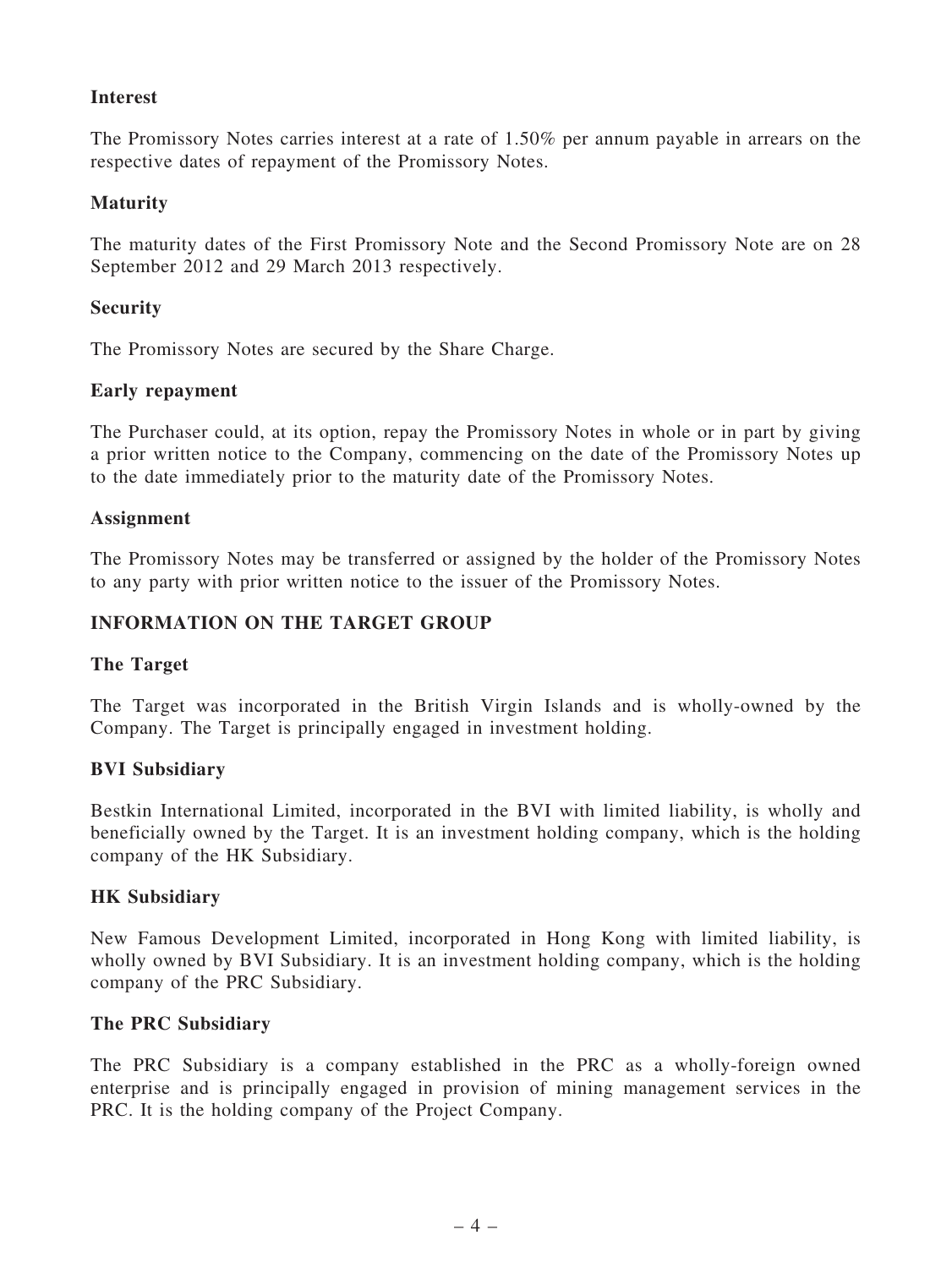# Interest

The Promissory Notes carries interest at a rate of 1.50% per annum payable in arrears on the respective dates of repayment of the Promissory Notes.

### Maturity

The maturity dates of the First Promissory Note and the Second Promissory Note are on 28 September 2012 and 29 March 2013 respectively.

# **Security**

The Promissory Notes are secured by the Share Charge.

# Early repayment

The Purchaser could, at its option, repay the Promissory Notes in whole or in part by giving a prior written notice to the Company, commencing on the date of the Promissory Notes up to the date immediately prior to the maturity date of the Promissory Notes.

# Assignment

The Promissory Notes may be transferred or assigned by the holder of the Promissory Notes to any party with prior written notice to the issuer of the Promissory Notes.

# INFORMATION ON THE TARGET GROUP

#### The Target

The Target was incorporated in the British Virgin Islands and is wholly-owned by the Company. The Target is principally engaged in investment holding.

#### BVI Subsidiary

Bestkin International Limited, incorporated in the BVI with limited liability, is wholly and beneficially owned by the Target. It is an investment holding company, which is the holding company of the HK Subsidiary.

#### HK Subsidiary

New Famous Development Limited, incorporated in Hong Kong with limited liability, is wholly owned by BVI Subsidiary. It is an investment holding company, which is the holding company of the PRC Subsidiary.

#### The PRC Subsidiary

The PRC Subsidiary is a company established in the PRC as a wholly-foreign owned enterprise and is principally engaged in provision of mining management services in the PRC. It is the holding company of the Project Company.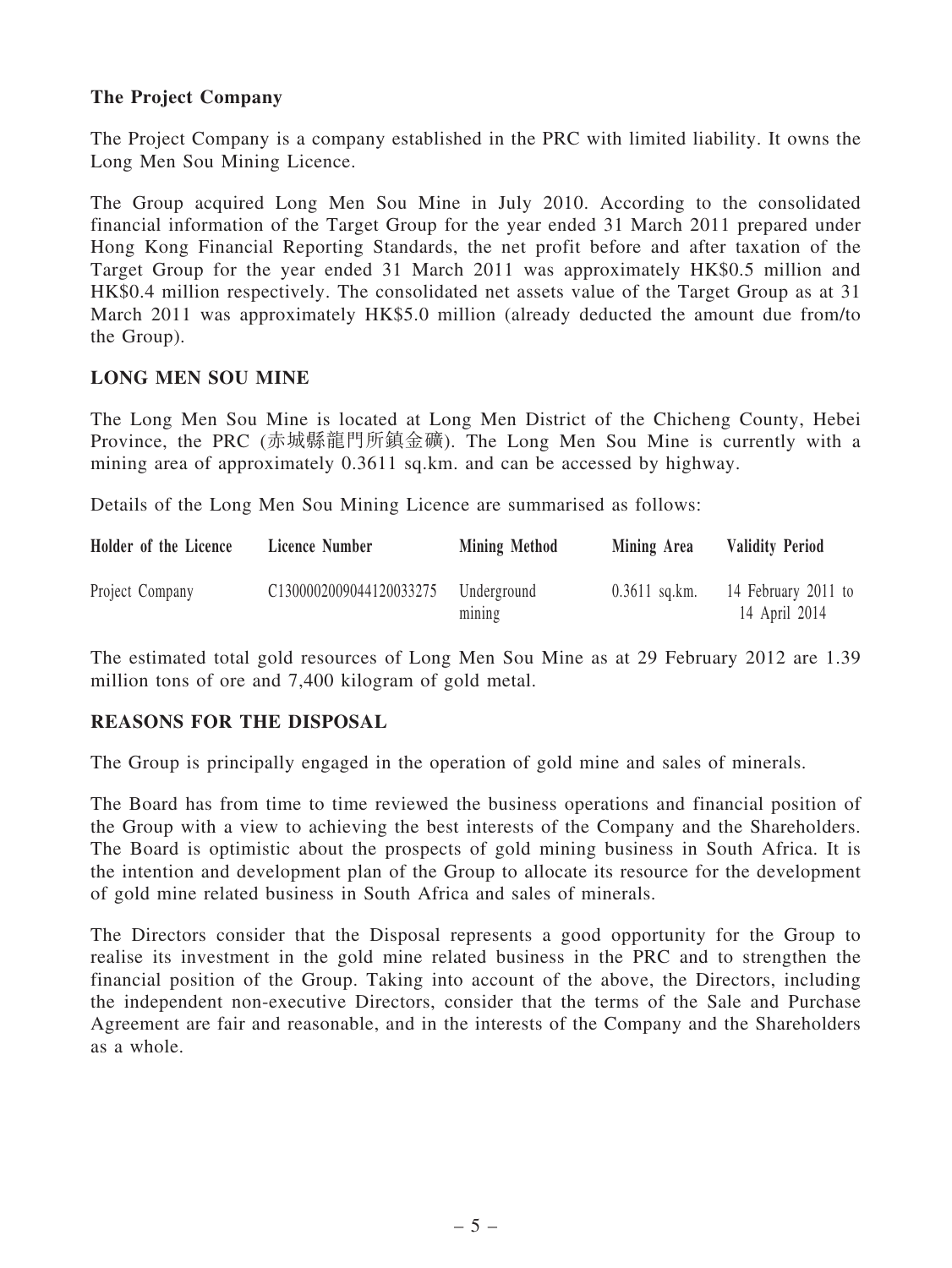# The Project Company

The Project Company is a company established in the PRC with limited liability. It owns the Long Men Sou Mining Licence.

The Group acquired Long Men Sou Mine in July 2010. According to the consolidated financial information of the Target Group for the year ended 31 March 2011 prepared under Hong Kong Financial Reporting Standards, the net profit before and after taxation of the Target Group for the year ended 31 March 2011 was approximately HK\$0.5 million and HK\$0.4 million respectively. The consolidated net assets value of the Target Group as at 31 March 2011 was approximately HK\$5.0 million (already deducted the amount due from/to the Group).

# LONG MEN SOU MINE

The Long Men Sou Mine is located at Long Men District of the Chicheng County, Hebei Province, the PRC (赤城縣龍門所鎮金礦). The Long Men Sou Mine is currently with a mining area of approximately 0.3611 sq.km. and can be accessed by highway.

Details of the Long Men Sou Mining Licence are summarised as follows:

| Holder of the Licence | Licence Number          | Mining Method         | Mining Area     | <b>Validity Period</b>               |
|-----------------------|-------------------------|-----------------------|-----------------|--------------------------------------|
| Project Company       | C1300002009044120033275 | Underground<br>mining | $0.3611$ sq.km. | 14 February 2011 to<br>14 April 2014 |

The estimated total gold resources of Long Men Sou Mine as at 29 February 2012 are 1.39 million tons of ore and 7,400 kilogram of gold metal.

# REASONS FOR THE DISPOSAL

The Group is principally engaged in the operation of gold mine and sales of minerals.

The Board has from time to time reviewed the business operations and financial position of the Group with a view to achieving the best interests of the Company and the Shareholders. The Board is optimistic about the prospects of gold mining business in South Africa. It is the intention and development plan of the Group to allocate its resource for the development of gold mine related business in South Africa and sales of minerals.

The Directors consider that the Disposal represents a good opportunity for the Group to realise its investment in the gold mine related business in the PRC and to strengthen the financial position of the Group. Taking into account of the above, the Directors, including the independent non-executive Directors, consider that the terms of the Sale and Purchase Agreement are fair and reasonable, and in the interests of the Company and the Shareholders as a whole.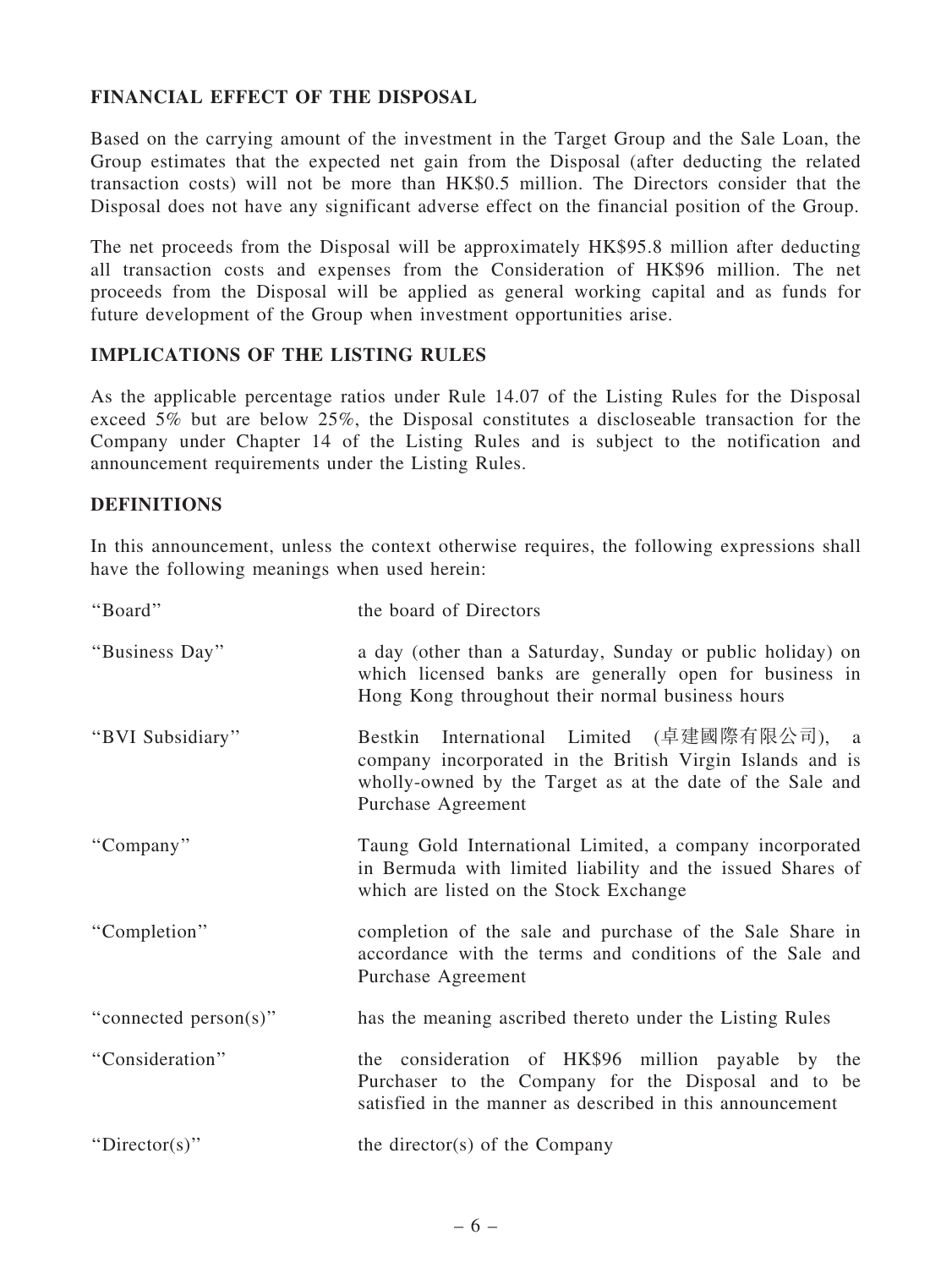# FINANCIAL EFFECT OF THE DISPOSAL

Based on the carrying amount of the investment in the Target Group and the Sale Loan, the Group estimates that the expected net gain from the Disposal (after deducting the related transaction costs) will not be more than HK\$0.5 million. The Directors consider that the Disposal does not have any significant adverse effect on the financial position of the Group.

The net proceeds from the Disposal will be approximately HK\$95.8 million after deducting all transaction costs and expenses from the Consideration of HK\$96 million. The net proceeds from the Disposal will be applied as general working capital and as funds for future development of the Group when investment opportunities arise.

# IMPLICATIONS OF THE LISTING RULES

As the applicable percentage ratios under Rule 14.07 of the Listing Rules for the Disposal exceed 5% but are below 25%, the Disposal constitutes a discloseable transaction for the Company under Chapter 14 of the Listing Rules and is subject to the notification and announcement requirements under the Listing Rules.

# **DEFINITIONS**

In this announcement, unless the context otherwise requires, the following expressions shall have the following meanings when used herein:

| "Board"               | the board of Directors                                                                                                                                                                      |
|-----------------------|---------------------------------------------------------------------------------------------------------------------------------------------------------------------------------------------|
| "Business Day"        | a day (other than a Saturday, Sunday or public holiday) on<br>which licensed banks are generally open for business in<br>Hong Kong throughout their normal business hours                   |
| "BVI Subsidiary"      | Bestkin International Limited (卓建國際有限公司), a<br>company incorporated in the British Virgin Islands and is<br>wholly-owned by the Target as at the date of the Sale and<br>Purchase Agreement |
| "Company"             | Taung Gold International Limited, a company incorporated<br>in Bermuda with limited liability and the issued Shares of<br>which are listed on the Stock Exchange                            |
| "Completion"          | completion of the sale and purchase of the Sale Share in<br>accordance with the terms and conditions of the Sale and<br>Purchase Agreement                                                  |
| "connected person(s)" | has the meaning ascribed thereto under the Listing Rules                                                                                                                                    |
| "Consideration"       | the consideration of HK\$96 million payable by the<br>Purchaser to the Company for the Disposal and to be<br>satisfied in the manner as described in this announcement                      |
| "Director(s)"         | the director(s) of the Company                                                                                                                                                              |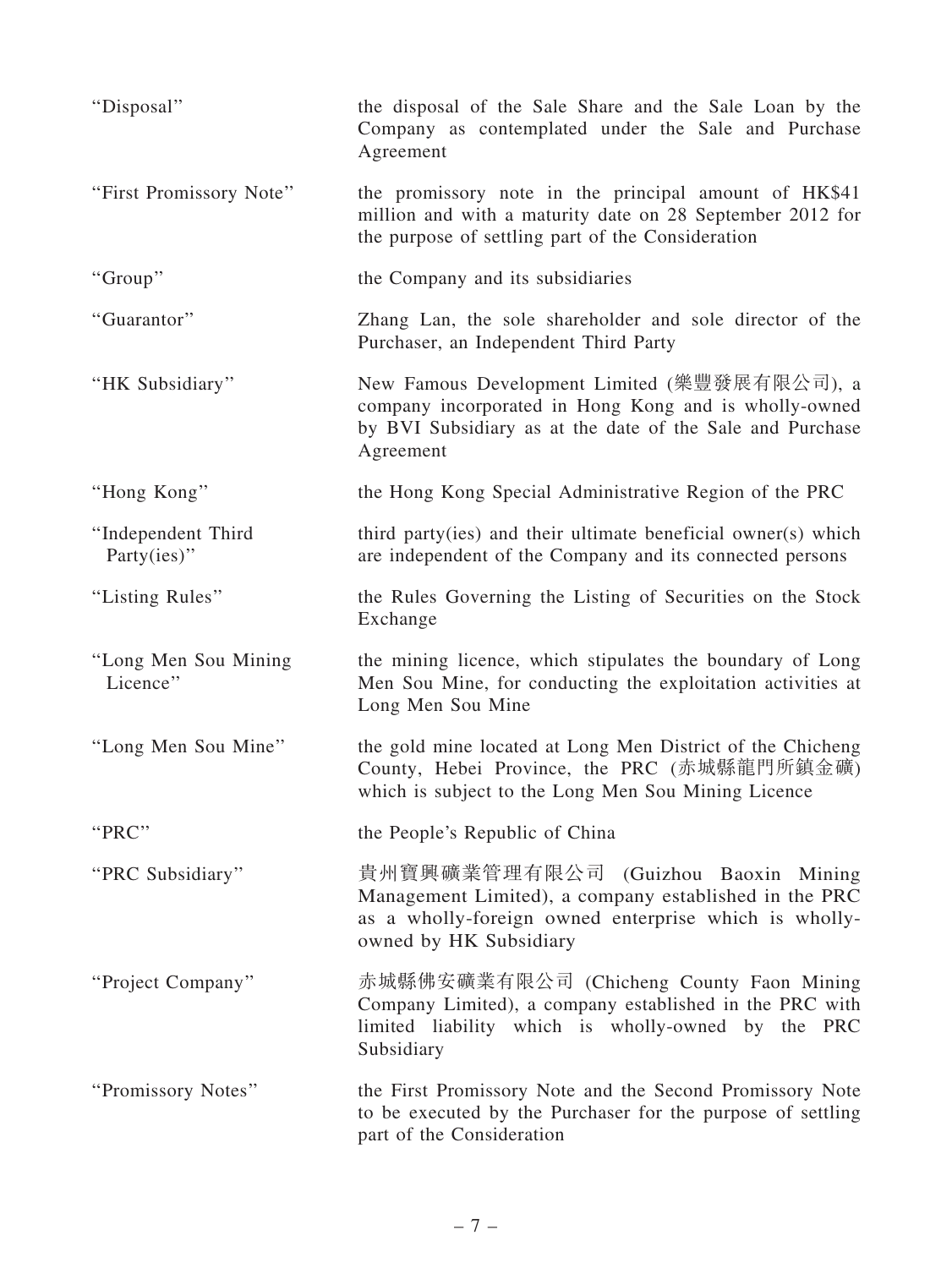| "Disposal"                        | the disposal of the Sale Share and the Sale Loan by the<br>Company as contemplated under the Sale and Purchase<br>Agreement                                                     |
|-----------------------------------|---------------------------------------------------------------------------------------------------------------------------------------------------------------------------------|
| "First Promissory Note"           | the promissory note in the principal amount of HK\$41<br>million and with a maturity date on 28 September 2012 for<br>the purpose of settling part of the Consideration         |
| "Group"                           | the Company and its subsidiaries                                                                                                                                                |
| "Guarantor"                       | Zhang Lan, the sole shareholder and sole director of the<br>Purchaser, an Independent Third Party                                                                               |
| "HK Subsidiary"                   | New Famous Development Limited (樂豐發展有限公司), a<br>company incorporated in Hong Kong and is wholly-owned<br>by BVI Subsidiary as at the date of the Sale and Purchase<br>Agreement |
| "Hong Kong"                       | the Hong Kong Special Administrative Region of the PRC                                                                                                                          |
| "Independent Third<br>Party(ies)" | third party (ies) and their ultimate beneficial owner(s) which<br>are independent of the Company and its connected persons                                                      |
| "Listing Rules"                   | the Rules Governing the Listing of Securities on the Stock<br>Exchange                                                                                                          |
| "Long Men Sou Mining<br>Licence"  | the mining licence, which stipulates the boundary of Long<br>Men Sou Mine, for conducting the exploitation activities at<br>Long Men Sou Mine                                   |
| "Long Men Sou Mine"               | the gold mine located at Long Men District of the Chicheng<br>County, Hebei Province, the PRC (赤城縣龍門所鎮金礦)<br>which is subject to the Long Men Sou Mining Licence                |
| "PRC"                             | the People's Republic of China                                                                                                                                                  |
| "PRC Subsidiary"                  | 貴州寶興礦業管理有限公司 (Guizhou Baoxin Mining<br>Management Limited), a company established in the PRC<br>as a wholly-foreign owned enterprise which is wholly-<br>owned by HK Subsidiary |
| "Project Company"                 | 赤城縣佛安礦業有限公司 (Chicheng County Faon Mining<br>Company Limited), a company established in the PRC with<br>limited liability which is wholly-owned by the PRC<br>Subsidiary         |
| "Promissory Notes"                | the First Promissory Note and the Second Promissory Note<br>to be executed by the Purchaser for the purpose of settling<br>part of the Consideration                            |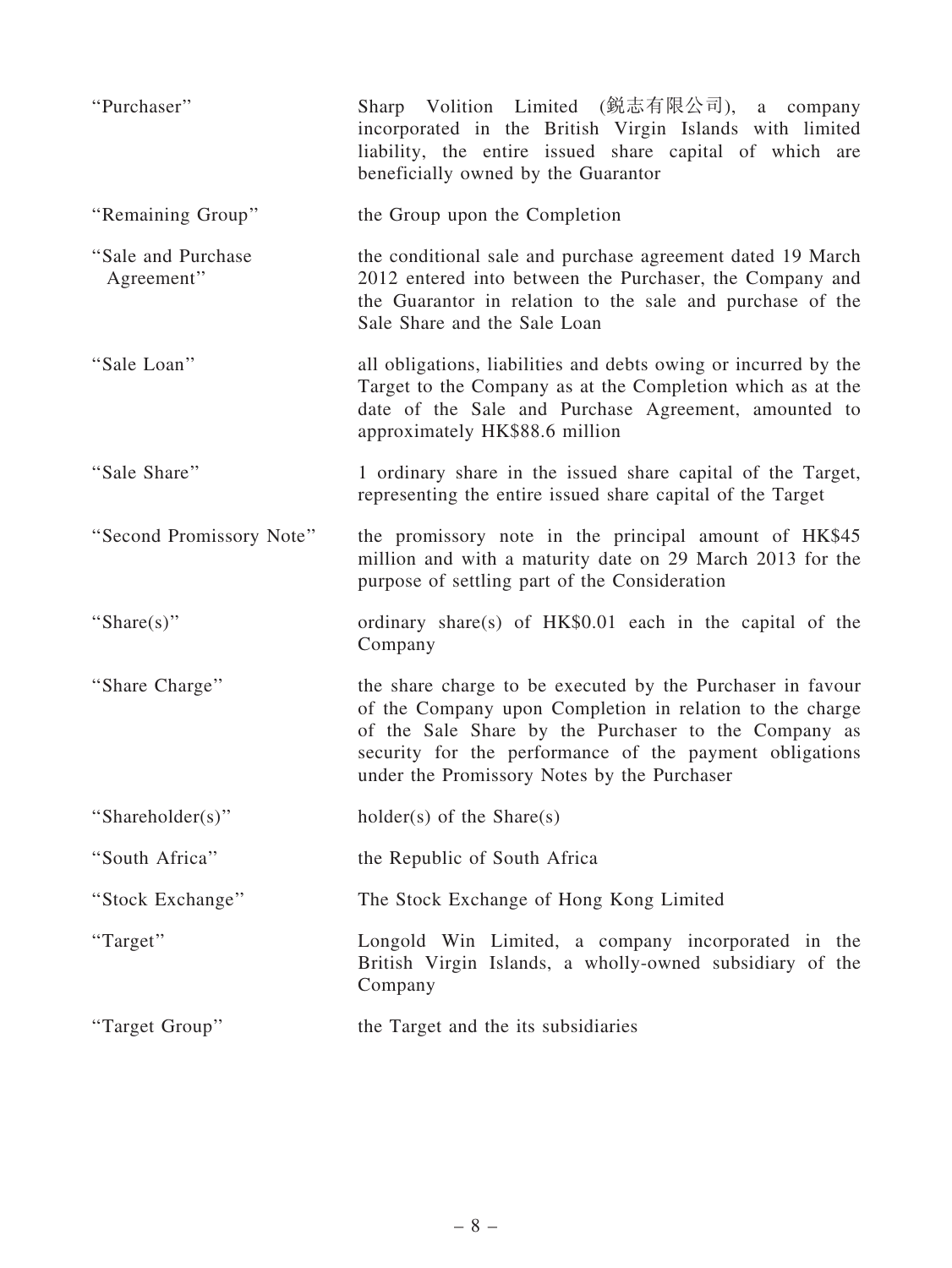| "Purchaser"                       | Sharp Volition Limited (鋭志有限公司), a company<br>incorporated in the British Virgin Islands with limited<br>liability, the entire issued share capital of which are<br>beneficially owned by the Guarantor                                                                                  |
|-----------------------------------|------------------------------------------------------------------------------------------------------------------------------------------------------------------------------------------------------------------------------------------------------------------------------------------|
| "Remaining Group"                 | the Group upon the Completion                                                                                                                                                                                                                                                            |
| "Sale and Purchase"<br>Agreement" | the conditional sale and purchase agreement dated 19 March<br>2012 entered into between the Purchaser, the Company and<br>the Guarantor in relation to the sale and purchase of the<br>Sale Share and the Sale Loan                                                                      |
| "Sale Loan"                       | all obligations, liabilities and debts owing or incurred by the<br>Target to the Company as at the Completion which as at the<br>date of the Sale and Purchase Agreement, amounted to<br>approximately HK\$88.6 million                                                                  |
| "Sale Share"                      | 1 ordinary share in the issued share capital of the Target,<br>representing the entire issued share capital of the Target                                                                                                                                                                |
| "Second Promissory Note"          | the promissory note in the principal amount of HK\$45<br>million and with a maturity date on 29 March 2013 for the<br>purpose of settling part of the Consideration                                                                                                                      |
| "Share(s)"                        | ordinary share(s) of HK\$0.01 each in the capital of the<br>Company                                                                                                                                                                                                                      |
| "Share Charge"                    | the share charge to be executed by the Purchaser in favour<br>of the Company upon Completion in relation to the charge<br>of the Sale Share by the Purchaser to the Company as<br>security for the performance of the payment obligations<br>under the Promissory Notes by the Purchaser |
| "Shareholder(s)"                  | $holder(s)$ of the Share $(s)$                                                                                                                                                                                                                                                           |
| "South Africa"                    | the Republic of South Africa                                                                                                                                                                                                                                                             |
| "Stock Exchange"                  | The Stock Exchange of Hong Kong Limited                                                                                                                                                                                                                                                  |
| "Target"                          | Longold Win Limited, a company incorporated in the<br>British Virgin Islands, a wholly-owned subsidiary of the<br>Company                                                                                                                                                                |
| "Target Group"                    | the Target and the its subsidiaries                                                                                                                                                                                                                                                      |